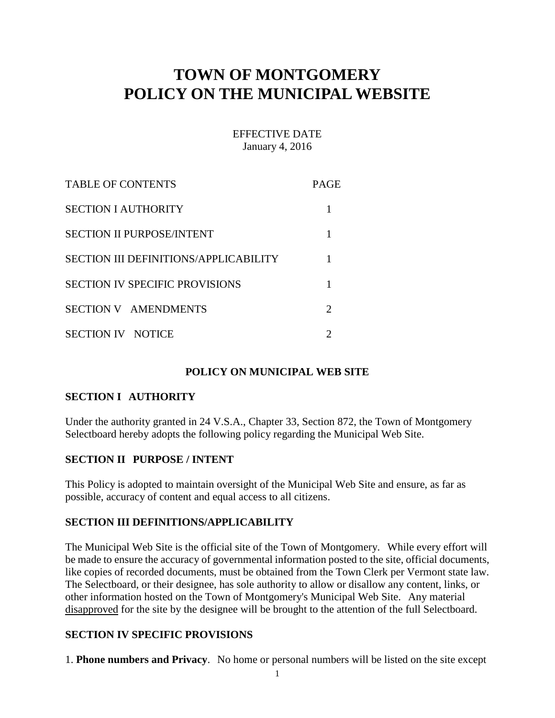# **TOWN OF MONTGOMERY POLICY ON THE MUNICIPAL WEBSITE**

## EFFECTIVE DATE January 4, 2016

| <b>TABLE OF CONTENTS</b>                     | <b>PAGE</b> |
|----------------------------------------------|-------------|
| <b>SECTION I AUTHORITY</b>                   |             |
| <b>SECTION II PURPOSE/INTENT</b>             |             |
| <b>SECTION III DEFINITIONS/APPLICABILITY</b> |             |
| <b>SECTION IV SPECIFIC PROVISIONS</b>        |             |
| SECTION V AMENDMENTS                         | ႒           |
| <b>SECTION IV NOTICE</b>                     |             |

## **POLICY ON MUNICIPAL WEB SITE**

## **SECTION I AUTHORITY**

Under the authority granted in 24 V.S.A., Chapter 33, Section 872, the Town of Montgomery Selectboard hereby adopts the following policy regarding the Municipal Web Site.

#### **SECTION II PURPOSE / INTENT**

This Policy is adopted to maintain oversight of the Municipal Web Site and ensure, as far as possible, accuracy of content and equal access to all citizens.

#### **SECTION III DEFINITIONS/APPLICABILITY**

The Municipal Web Site is the official site of the Town of Montgomery. While every effort will be made to ensure the accuracy of governmental information posted to the site, official documents, like copies of recorded documents, must be obtained from the Town Clerk per Vermont state law. The Selectboard, or their designee, has sole authority to allow or disallow any content, links, or other information hosted on the Town of Montgomery's Municipal Web Site. Any material disapproved for the site by the designee will be brought to the attention of the full Selectboard.

#### **SECTION IV SPECIFIC PROVISIONS**

1. **Phone numbers and Privacy**. No home or personal numbers will be listed on the site except